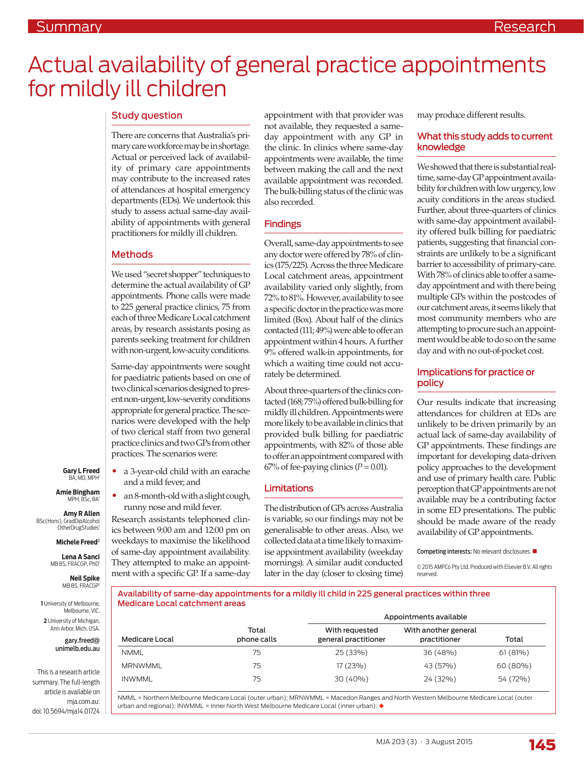# Actual availability of general practice appointments for mildly ill children

## Study question

There are concerns that Australia's primary care workforce may be in shortage. Actual or perceived lack of availability of primary care appointments may contribute to the increased rates of attendances at hospital emergency departments (EDs). We undertook this study to assess actual same-day availability of appointments with general practitioners for mildly ill children.

### Methods

We used "secret shopper" techniques to determine the actual availability of GP appointments. Phone calls were made to 225 general practice clinics, 75 from each of three Medicare Local catchment areas, by research assistants posing as parents seeking treatment for children with non-urgent, low-acuity conditions.

Same-day appointments were sought for paediatric patients based on one of two clinical scenarios designed to present non-urgent, low-severity conditions appropriate for general practice. The scenarios were developed with the help of two clerical staff from two general practice clinics and two GPs from other practices. The scenarios were:

• a 3-year-old child with an earache

• an 8-month-old with a slight cough, runny nose and mild fever. Research assistants telephoned clinics between 9:00 am and 12:00 pm on weekdays to maximise the likelihood of same-day appointment availability. They attempted to make an appointment with a specific GP. If a same-day

and a mild fever; and

**Gary L Freed** BA, MD, MPH

**Amie Bingham** MPH, BSc, BA

**Amy R Allen**  BSc(Hons), GradDipAlcohol OtherDrugStudies<sup>1</sup>

**Michele Freed**<sup>2</sup>

**Lena A Sanci**  MB BS, FRACGP, PhD1

> **Neil Spike**  MB BS, FRACGP

**1** University of Melbourne, Melbourne, VIC. **2** University of Michigan, Ann Arbor, Mich, USA.

> gary.freed@ unimelb.edu.au

This is a research article summary. The full-length article is available on mja.com.au: doi: 10.5694/mja14.01724

appointment with that provider was not available, they requested a sameday appointment with any GP in the clinic. In clinics where same-day appointments were available, the time between making the call and the next available appointment was recorded. The bulk-billing status of the clinic was also recorded.

### Findings

Overall, same-day appointments to see any doctor were offered by 78% of clinics (175/225). Across the three Medicare Local catchment areas, appointment availability varied only slightly, from 72% to 81%. However, availability to see a specific doctor in the practice was more limited (Box). About half of the clinics contacted (111; 49%) were able to offer an appointment within 4 hours. A further 9% offered walk-in appointments, for which a waiting time could not accurately be determined.

About three-quarters of the clinics contacted (168; 75%) offered bulk-billing for mildly ill children. Appointments were more likely to be available in clinics that provided bulk billing for paediatric appointments, with 82% of those able to offer an appointment compared with  $67\%$  of fee-paying clinics ( $P = 0.01$ ).

### Limitations

The distribution of GPs across Australia is variable, so our findings may not be generalisable to other areas. Also, we collected data at a time likely to maximise appointment availability (weekday mornings). A similar audit conducted later in the day (closer to closing time) may produce different results.

#### What this study adds to current knowledge

We showed that there is substantial realtime, same-day GP appointment availability for children with low urgency, low acuity conditions in the areas studied. Further, about three-quarters of clinics with same-day appointment availability offered bulk billing for paediatric patients, suggesting that financial constraints are unlikely to be a significant barrier to accessibility of primary-care. With 78% of clinics able to offer a sameday appointment and with there being multiple GPs within the postcodes of our catchment areas, it seems likely that most community members who are attempting to procure such an appointment would be able to do so on the same day and with no out-of-pocket cost.

## Implications for practice or policy

Our results indicate that increasing attendances for children at EDs are unlikely to be driven primarily by an actual lack of same-day availability of GP appointments. These findings are important for developing data-driven policy approaches to the development and use of primary health care. Public perception that GP appointments are not available may be a contributing factor in some ED presentations. The public should be made aware of the ready availability of GP appointments.

#### Competing interests: No relevant disclosures.

© 2015 AMPCo Pty Ltd. Produced with Elsevier B.V. All rights reserved.

Availability of same-day appointments for a mildly ill child in 225 general practices within three Medicare Local catchment areas

|                |                      | Appointments available                 |                                      |          |
|----------------|----------------------|----------------------------------------|--------------------------------------|----------|
| Medicare Local | Total<br>phone calls | With requested<br>general practitioner | With another general<br>practitioner | Total    |
| <b>NMML</b>    | 75                   | 25 (33%)                               | 36 (48%)                             | 61(81%)  |
| <b>MRNWMML</b> | 75                   | 17(23%)                                | 43 (57%)                             | 60 (80%) |
| <b>INWMML</b>  | 75                   | 30 (40%)                               | 24 (32%)                             | 54 (72%) |

NMML = Northern Melbourne Medicare Local (outer urban); MRNWMML = Macedon Ranges and North Western Melbourne Medicare Local (outer urban and regional);  $INWMML = Inner North West Melbourne Medicine Local (inner urban)$ .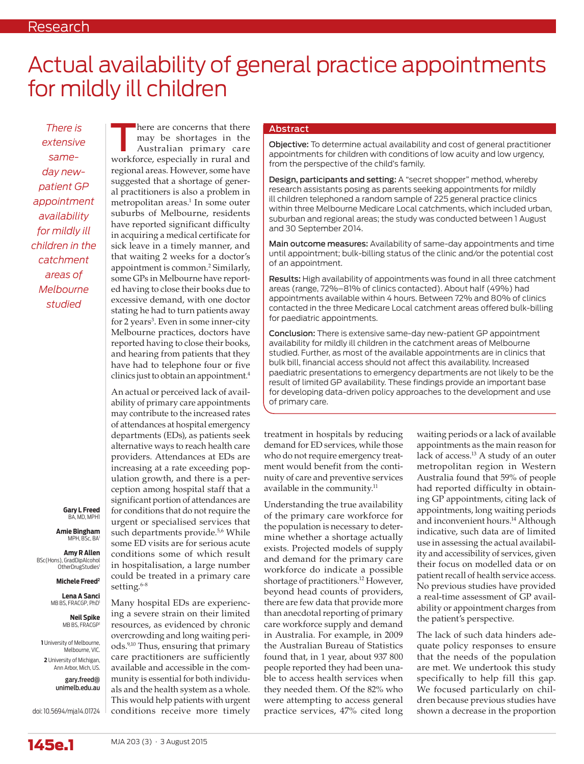# Actual availability of general practice appointments for mildly ill children

*There is extensive sameday newpatient GP appointment availability for mildly ill children in the catchment areas of Melbourne studied*

**Gary L Freed** BA, MD, MPH1

**Amie Bingham** MPH, BSc, BA1

**Amy R Allen**  BSc(Hons), GradDipAlcohol OtherDrugStudies<sup>1</sup>

**Michele Freed2**

**Lena A Sanci**  MB BS, FRACGP, PhD

> **Neil Spike**  MB BS, FRACGP

**1** University of Melbourne, Melbourne, VIC. **2** University of Michigan,

Ann Arbor, Mich, US.

gary.freed@ unimelb.edu.au

doi: 10.5694/mja14.01724

here are concerns that there<br>
may be shortages in the<br>
Australian primary care<br>
workforce expecially in rural and may be shortages in the workforce, especially in rural and regional areas. However, some have suggested that a shortage of general practitioners is also a problem in metropolitan areas.<sup>1</sup> In some outer suburbs of Melbourne, residents have reported significant difficulty in acquiring a medical certificate for sick leave in a timely manner, and that waiting 2 weeks for a doctor's appointment is common.2 Similarly, some GPs in Melbourne have reported having to close their books due to excessive demand, with one doctor stating he had to turn patients away for 2 years<sup>3</sup>. Even in some inner-city Melbourne practices, doctors have reported having to close their books, and hearing from patients that they have had to telephone four or five clinics just to obtain an appointment.4

An actual or perceived lack of availability of primary care appointments may contribute to the increased rates of attendances at hospital emergency departments (EDs), as patients seek alternative ways to reach health care providers. Attendances at EDs are increasing at a rate exceeding population growth, and there is a perception among hospital staff that a significant portion of attendances are for conditions that do not require the urgent or specialised services that such departments provide.<sup>5,6</sup> While some ED visits are for serious acute conditions some of which result in hospitalisation, a large number could be treated in a primary care setting.<sup>6-8</sup>

Many hospital EDs are experiencing a severe strain on their limited resources, as evidenced by chronic overcrowding and long waiting periods.9,10 Thus, ensuring that primary care practitioners are sufficiently available and accessible in the community is essential for both individuals and the health system as a whole. This would help patients with urgent conditions receive more timely

#### Abstract

Objective: To determine actual availability and cost of general practitioner appointments for children with conditions of low acuity and low urgency, from the perspective of the child's family.

Design, participants and setting: A "secret shopper" method, whereby research assistants posing as parents seeking appointments for mildly ill children telephoned a random sample of 225 general practice clinics within three Melbourne Medicare Local catchments, which included urban, suburban and regional areas; the study was conducted between 1 August and 30 September 2014.

Main outcome measures: Availability of same-day appointments and time until appointment; bulk-billing status of the clinic and/or the potential cost of an appointment.

Results: High availability of appointments was found in all three catchment areas (range, 72%–81% of clinics contacted). About half (49%) had appointments available within 4 hours. Between 72% and 80% of clinics contacted in the three Medicare Local catchment areas offered bulk-billing for paediatric appointments.

Conclusion: There is extensive same-day new-patient GP appointment availability for mildly ill children in the catchment areas of Melbourne studied. Further, as most of the available appointments are in clinics that bulk bill, financial access should not affect this availability. Increased paediatric presentations to emergency departments are not likely to be the result of limited GP availability. These findings provide an important base for developing data-driven policy approaches to the development and use of primary care.

treatment in hospitals by reducing demand for ED services, while those who do not require emergency treatment would benefit from the continuity of care and preventive services available in the community.<sup>11</sup>

Understanding the true availability of the primary care workforce for the population is necessary to determine whether a shortage actually exists. Projected models of supply and demand for the primary care workforce do indicate a possible shortage of practitioners.<sup>12</sup> However, beyond head counts of providers, there are few data that provide more than anecdotal reporting of primary care workforce supply and demand in Australia. For example, in 2009 the Australian Bureau of Statistics found that, in 1 year, about 937 800 people reported they had been unable to access health services when they needed them. Of the 82% who were attempting to access general practice services, 47% cited long

waiting periods or a lack of available appointments as the main reason for lack of access.13 A study of an outer metropolitan region in Western Australia found that 59% of people had reported difficulty in obtaining GP appointments, citing lack of appointments, long waiting periods and inconvenient hours.<sup>14</sup> Although indicative, such data are of limited use in assessing the actual availability and accessibility of services, given their focus on modelled data or on patient recall of health service access. No previous studies have provided a real-time assessment of GP availability or appointment charges from the patient's perspective.

The lack of such data hinders adequate policy responses to ensure that the needs of the population are met. We undertook this study specifically to help fill this gap. We focused particularly on children because previous studies have shown a decrease in the proportion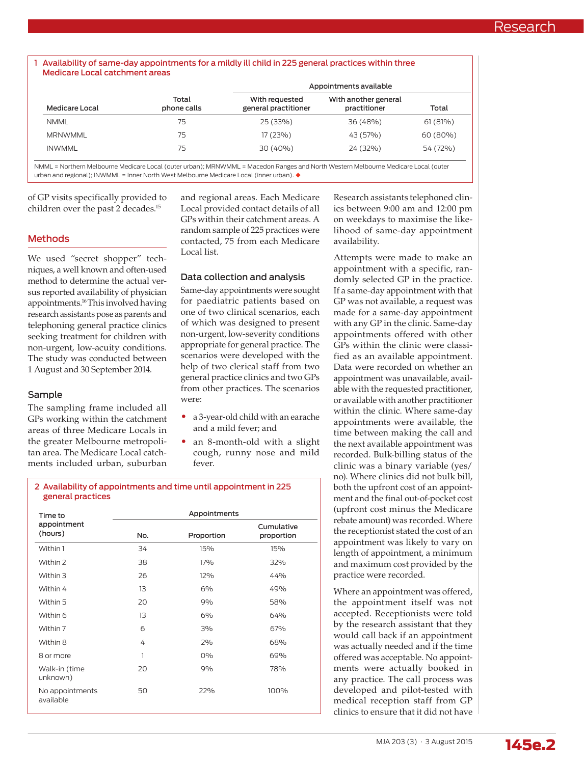#### Availability of same-day appointments for a mildly ill child in 225 general practices within three Medicare Local catchment areas

|                |                      | Appointments available                 |                                      |          |
|----------------|----------------------|----------------------------------------|--------------------------------------|----------|
| Medicare Local | Total<br>phone calls | With requested<br>general practitioner | With another general<br>practitioner | Total    |
| <b>NMML</b>    | 75                   | 25 (33%)                               | 36 (48%)                             | 61(81%)  |
| <b>MRNWMML</b> | 75                   | 17 (23%)                               | 43 (57%)                             | 60 (80%) |
| <b>INWMML</b>  | 75                   | 30 (40%)                               | 24 (32%)                             | 54 (72%) |

NMML = Northern Melbourne Medicare Local (outer urban); MRNWMML = Macedon Ranges and North Western Melbourne Medicare Local (outer urban and regional); INWMML = Inner North West Melbourne Medicare Local (inner urban).  $\blacklozenge$ 

of GP visits specifically provided to children over the past 2 decades.15

### Methods

We used "secret shopper" techniques, a well known and often-used method to determine the actual versus reported availability of physician appointments.16 This involved having research assistants pose as parents and telephoning general practice clinics seeking treatment for children with non-urgent, low-acuity conditions. The study was conducted between 1 August and 30 September 2014.

### Sample

The sampling frame included all GPs working within the catchment areas of three Medicare Locals in the greater Melbourne metropolitan area. The Medicare Local catchments included urban, suburban and regional areas. Each Medicare Local provided contact details of all GPs within their catchment areas. A random sample of 225 practices were contacted, 75 from each Medicare Local list.

## Data collection and analysis

Same-day appointments were sought for paediatric patients based on one of two clinical scenarios, each of which was designed to present non-urgent, low-severity conditions appropriate for general practice. The scenarios were developed with the help of two clerical staff from two general practice clinics and two GPs from other practices. The scenarios were:

- a 3-year-old child with an earache and a mild fever; and
- an 8-month-old with a slight cough, runny nose and mild fever.

#### 2 Availability of appointments and time until appointment in 225 general practices

| Time to                      |     | Appointments |                          |
|------------------------------|-----|--------------|--------------------------|
| appointment<br>(hours)       | No. | Proportion   | Cumulative<br>proportion |
| Within 1                     | 34  | 15%          | 15%                      |
| Within 2                     | 38  | 17%          | 32%                      |
| Within 3                     | 26  | 12%          | 44%                      |
| Within 4                     | 13  | 6%           | 49%                      |
| Within 5                     | 20  | 9%           | 58%                      |
| Within 6                     | 13  | 6%           | 64%                      |
| Within 7                     | 6   | 3%           | 67%                      |
| Within 8                     | 4   | 2%           | 68%                      |
| 8 or more                    | 1   | $0\%$        | 69%                      |
| Walk-in (time<br>unknown)    | 20  | 9%           | 78%                      |
| No appointments<br>available | 50  | 22%          | 100%                     |

Research assistants telephoned clinics between 9:00 am and 12:00 pm on weekdays to maximise the likelihood of same-day appointment availability.

Attempts were made to make an appointment with a specific, randomly selected GP in the practice. If a same-day appointment with that GP was not available, a request was made for a same-day appointment with any GP in the clinic. Same-day appointments offered with other GPs within the clinic were classified as an available appointment. Data were recorded on whether an appointment was unavailable, available with the requested practitioner, or available with another practitioner within the clinic. Where same-day appointments were available, the time between making the call and the next available appointment was recorded. Bulk-billing status of the clinic was a binary variable (yes/ no). Where clinics did not bulk bill, both the upfront cost of an appointment and the final out-of-pocket cost (upfront cost minus the Medicare rebate amount) was recorded. Where the receptionist stated the cost of an appointment was likely to vary on length of appointment, a minimum and maximum cost provided by the practice were recorded.

Where an appointment was offered, the appointment itself was not accepted. Receptionists were told by the research assistant that they would call back if an appointment was actually needed and if the time offered was acceptable. No appointments were actually booked in any practice. The call process was developed and pilot-tested with medical reception staff from GP clinics to ensure that it did not have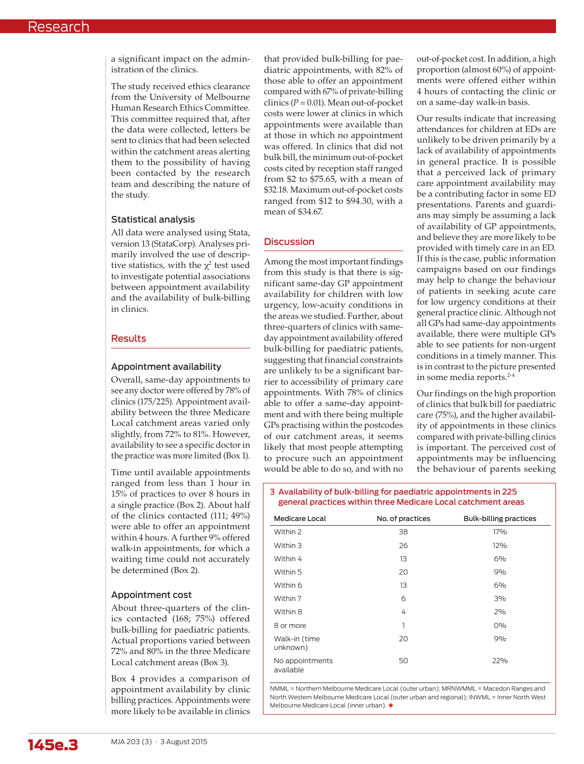a significant impact on the administration of the clinics.

The study received ethics clearance from the University of Melbourne Human Research Ethics Committee. This committee required that, after the data were collected, letters be sent to clinics that had been selected within the catchment areas alerting them to the possibility of having been contacted by the research team and describing the nature of the study.

#### Statistical analysis

All data were analysed using Stata, version 13 (StataCorp). Analyses primarily involved the use of descriptive statistics, with the  $\chi^2$  test used to investigate potential associations between appointment availability and the availability of bulk-billing in clinics.

### Results

## Appointment availability

Overall, same-day appointments to see any doctor were offered by 78% of clinics (175/225). Appointment availability between the three Medicare Local catchment areas varied only slightly, from 72% to 81%. However, availability to see a specific doctor in the practice was more limited (Box 1).

Time until available appointments ranged from less than 1 hour in 15% of practices to over 8 hours in a single practice (Box 2). About half of the clinics contacted (111; 49%) were able to offer an appointment within 4 hours. A further 9% offered walk-in appointments, for which a waiting time could not accurately be determined (Box 2).

### Appointment cost

About three-quarters of the clinics contacted (168; 75%) offered bulk-billing for paediatric patients. Actual proportions varied between 72% and 80% in the three Medicare Local catchment areas (Box 3).

Box 4 provides a comparison of appointment availability by clinic billing practices. Appointments were more likely to be available in clinics

that provided bulk-billing for paediatric appointments, with 82% of those able to offer an appointment compared with 67% of private-billing clinics  $(P = 0.01)$ . Mean out-of-pocket costs were lower at clinics in which appointments were available than at those in which no appointment was offered. In clinics that did not bulk bill, the minimum out-of-pocket costs cited by reception staff ranged from \$2 to \$75.65, with a mean of \$32.18. Maximum out-of-pocket costs ranged from \$12 to \$94.30, with a mean of \$34.67.

# **Discussion**

Among the most important findings from this study is that there is significant same-day GP appointment availability for children with low urgency, low-acuity conditions in the areas we studied. Further, about three-quarters of clinics with sameday appointment availability offered bulk-billing for paediatric patients, suggesting that financial constraints are unlikely to be a significant barrier to accessibility of primary care appointments. With 78% of clinics able to offer a same-day appointment and with there being multiple GPs practising within the postcodes of our catchment areas, it seems likely that most people attempting to procure such an appointment would be able to do so, and with no

out-of-pocket cost. In addition, a high proportion (almost 60%) of appointments were offered either within 4 hours of contacting the clinic or on a same-day walk-in basis.

Our results indicate that increasing attendances for children at EDs are unlikely to be driven primarily by a lack of availability of appointments in general practice. It is possible that a perceived lack of primary care appointment availability may be a contributing factor in some ED presentations. Parents and guardians may simply be assuming a lack of availability of GP appointments, and believe they are more likely to be provided with timely care in an ED. If this is the case, public information campaigns based on our findings may help to change the behaviour of patients in seeking acute care for low urgency conditions at their general practice clinic. Although not all GPs had same-day appointments available, there were multiple GPs able to see patients for non-urgent conditions in a timely manner. This is in contrast to the picture presented in some media reports.<sup>2-4</sup>

Our findings on the high proportion of clinics that bulk bill for paediatric care (75%), and the higher availability of appointments in these clinics compared with private-billing clinics is important. The perceived cost of appointments may be influencing the behaviour of parents seeking

#### 3 Availability of bulk-billing for paediatric appointments in 225 general practices within three Medicare Local catchment areas

| Medicare Local               | No. of practices | <b>Bulk-billing practices</b> |
|------------------------------|------------------|-------------------------------|
| Within 2                     | 38               | 17%                           |
| Within 3                     | 26               | 12%                           |
| Within 4                     | 13               | 6%                            |
| Within 5                     | 20               | 9%                            |
| Within 6                     | 13               | 6%                            |
| Within 7                     | 6                | 3%                            |
| Within 8                     | 4                | 2%                            |
| 8 or more                    | 1                | $0\%$                         |
| Walk-in (time<br>unknown)    | 20               | 9%                            |
| No appointments<br>available | 50               | 22%                           |

NMML = Northern Melbourne Medicare Local (outer urban); MRNWMML = Macedon Ranges and North Western Melbourne Medicare Local (outer urban and regional); INWML = Inner North West Melbourne Medicare Local (inner urban). ◆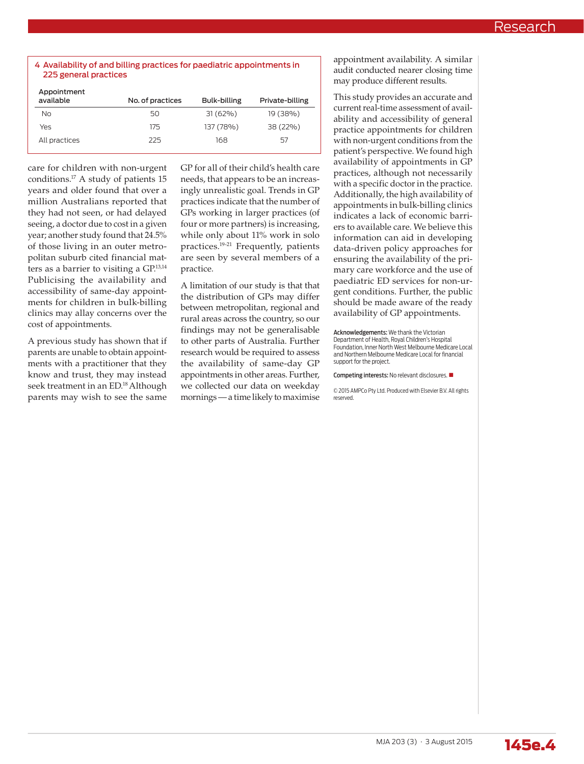#### 4 Availability of and billing practices for paediatric appointments in 225 general practices

| Appointment<br>available | No. of practices | Bulk-billing | Private-billing |
|--------------------------|------------------|--------------|-----------------|
| Nο                       | 50               | $31(62\%)$   | 19 (38%)        |
| Yes                      | 175              | 137 (78%)    | 38 (22%)        |
| All practices            | 225              | 168          | 57              |

care for children with non-urgent conditions.17 A study of patients 15 years and older found that over a million Australians reported that they had not seen, or had delayed seeing, a doctor due to cost in a given year; another study found that 24.5% of those living in an outer metropolitan suburb cited financial matters as a barrier to visiting a GP.13,14 Publicising the availability and accessibility of same-day appointments for children in bulk-billing clinics may allay concerns over the cost of appointments.

A previous study has shown that if parents are unable to obtain appointments with a practitioner that they know and trust, they may instead seek treatment in an ED.<sup>18</sup> Although parents may wish to see the same GP for all of their child's health care needs, that appears to be an increasingly unrealistic goal. Trends in GP practices indicate that the number of GPs working in larger practices (of four or more partners) is increasing, while only about 11% work in solo practices.19-21 Frequently, patients are seen by several members of a practice.

A limitation of our study is that that the distribution of GPs may differ between metropolitan, regional and rural areas across the country, so our findings may not be generalisable to other parts of Australia. Further research would be required to assess the availability of same-day GP appointments in other areas. Further, we collected our data on weekday mornings — a time likely to maximise

appointment availability. A similar audit conducted nearer closing time may produce different results.

This study provides an accurate and current real-time assessment of availability and accessibility of general practice appointments for children with non-urgent conditions from the patient's perspective. We found high availability of appointments in GP practices, although not necessarily with a specific doctor in the practice. Additionally, the high availability of appointments in bulk-billing clinics indicates a lack of economic barriers to available care. We believe this information can aid in developing data-driven policy approaches for ensuring the availability of the primary care workforce and the use of paediatric ED services for non-urgent conditions. Further, the public should be made aware of the ready availability of GP appointments.

Acknowledgements: We thank the Victorian Department of Health, Royal Children's Hospital Foundation, Inner North West Melbourne Medicare Local and Northern Melbourne Medicare Local for financial support for the project.

Competing interests: No relevant disclosures.

© 2015 AMPCo Pty Ltd. Produced with Elsevier B.V. All rights reserved.